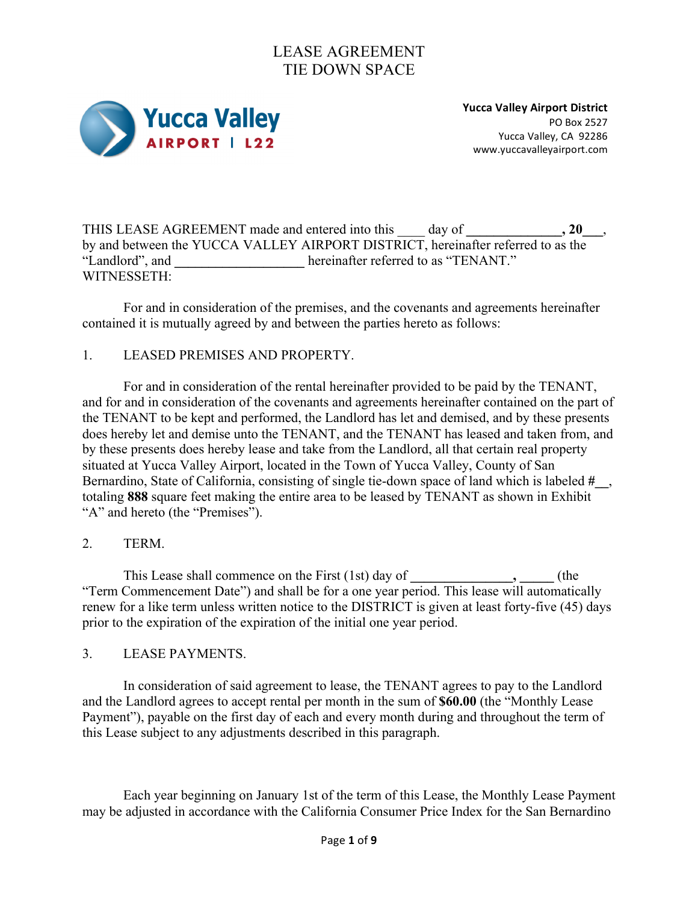

**Yucca Valley Airport District** PO Box 2527 Yucca Valley, CA 92286 www.yuccavalleyairport.com

THIS LEASE AGREEMENT made and entered into this \_\_\_\_ day of **\_\_\_\_\_\_\_\_\_\_\_\_\_\_, 20\_\_\_**, by and between the YUCCA VALLEY AIRPORT DISTRICT, hereinafter referred to as the "Landlord", and **\_\_\_\_\_\_\_\_\_\_\_\_\_\_\_\_\_\_\_** hereinafter referred to as "TENANT." WITNESSETH:

For and in consideration of the premises, and the covenants and agreements hereinafter contained it is mutually agreed by and between the parties hereto as follows:

### 1. LEASED PREMISES AND PROPERTY.

For and in consideration of the rental hereinafter provided to be paid by the TENANT, and for and in consideration of the covenants and agreements hereinafter contained on the part of the TENANT to be kept and performed, the Landlord has let and demised, and by these presents does hereby let and demise unto the TENANT, and the TENANT has leased and taken from, and by these presents does hereby lease and take from the Landlord, all that certain real property situated at Yucca Valley Airport, located in the Town of Yucca Valley, County of San Bernardino, State of California, consisting of single tie-down space of land which is labeled **#\_\_**, totaling **888** square feet making the entire area to be leased by TENANT as shown in Exhibit "A" and hereto (the "Premises").

### 2. TERM.

This Lease shall commence on the First (1st) day of **\_\_\_\_\_\_\_** (the "Term Commencement Date") and shall be for a one year period. This lease will automatically renew for a like term unless written notice to the DISTRICT is given at least forty-five (45) days prior to the expiration of the expiration of the initial one year period.

#### 3. LEASE PAYMENTS.

In consideration of said agreement to lease, the TENANT agrees to pay to the Landlord and the Landlord agrees to accept rental per month in the sum of **\$60.00** (the "Monthly Lease Payment"), payable on the first day of each and every month during and throughout the term of this Lease subject to any adjustments described in this paragraph.

Each year beginning on January 1st of the term of this Lease, the Monthly Lease Payment may be adjusted in accordance with the California Consumer Price Index for the San Bernardino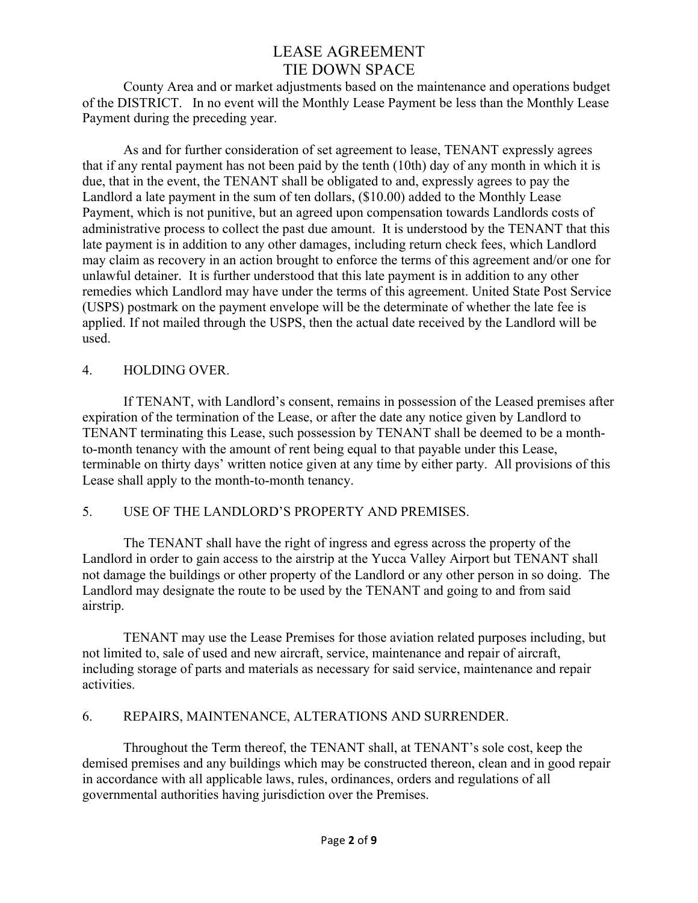County Area and or market adjustments based on the maintenance and operations budget of the DISTRICT. In no event will the Monthly Lease Payment be less than the Monthly Lease Payment during the preceding year.

As and for further consideration of set agreement to lease, TENANT expressly agrees that if any rental payment has not been paid by the tenth (10th) day of any month in which it is due, that in the event, the TENANT shall be obligated to and, expressly agrees to pay the Landlord a late payment in the sum of ten dollars, (\$10.00) added to the Monthly Lease Payment, which is not punitive, but an agreed upon compensation towards Landlords costs of administrative process to collect the past due amount. It is understood by the TENANT that this late payment is in addition to any other damages, including return check fees, which Landlord may claim as recovery in an action brought to enforce the terms of this agreement and/or one for unlawful detainer. It is further understood that this late payment is in addition to any other remedies which Landlord may have under the terms of this agreement. United State Post Service (USPS) postmark on the payment envelope will be the determinate of whether the late fee is applied. If not mailed through the USPS, then the actual date received by the Landlord will be used.

### 4. HOLDING OVER.

If TENANT, with Landlord's consent, remains in possession of the Leased premises after expiration of the termination of the Lease, or after the date any notice given by Landlord to TENANT terminating this Lease, such possession by TENANT shall be deemed to be a monthto-month tenancy with the amount of rent being equal to that payable under this Lease, terminable on thirty days' written notice given at any time by either party. All provisions of this Lease shall apply to the month-to-month tenancy.

### 5. USE OF THE LANDLORD'S PROPERTY AND PREMISES.

The TENANT shall have the right of ingress and egress across the property of the Landlord in order to gain access to the airstrip at the Yucca Valley Airport but TENANT shall not damage the buildings or other property of the Landlord or any other person in so doing. The Landlord may designate the route to be used by the TENANT and going to and from said airstrip.

TENANT may use the Lease Premises for those aviation related purposes including, but not limited to, sale of used and new aircraft, service, maintenance and repair of aircraft, including storage of parts and materials as necessary for said service, maintenance and repair activities.

### 6. REPAIRS, MAINTENANCE, ALTERATIONS AND SURRENDER.

Throughout the Term thereof, the TENANT shall, at TENANT's sole cost, keep the demised premises and any buildings which may be constructed thereon, clean and in good repair in accordance with all applicable laws, rules, ordinances, orders and regulations of all governmental authorities having jurisdiction over the Premises.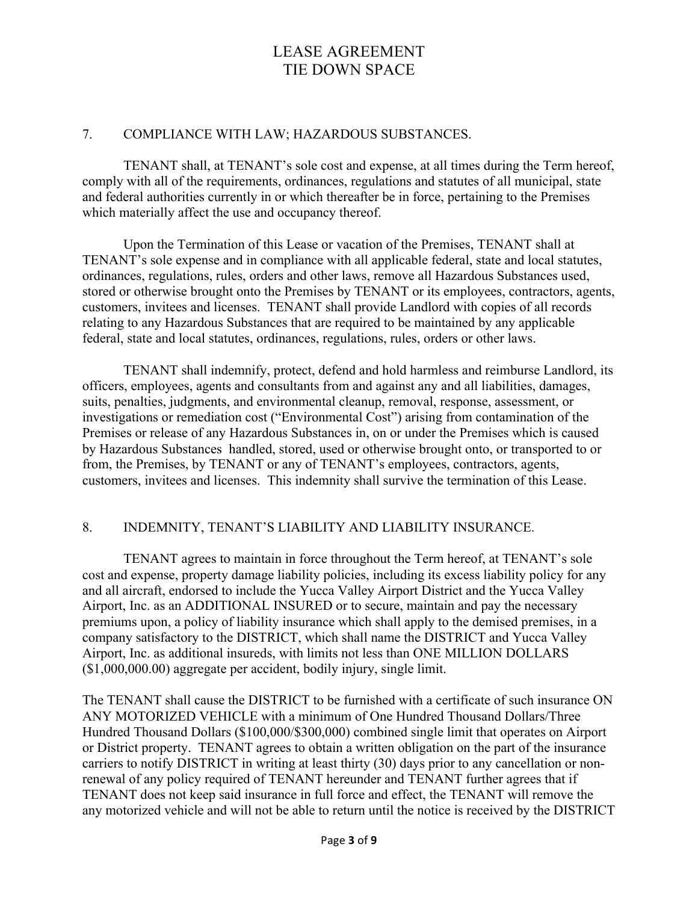#### 7. COMPLIANCE WITH LAW; HAZARDOUS SUBSTANCES.

TENANT shall, at TENANT's sole cost and expense, at all times during the Term hereof, comply with all of the requirements, ordinances, regulations and statutes of all municipal, state and federal authorities currently in or which thereafter be in force, pertaining to the Premises which materially affect the use and occupancy thereof.

Upon the Termination of this Lease or vacation of the Premises, TENANT shall at TENANT's sole expense and in compliance with all applicable federal, state and local statutes, ordinances, regulations, rules, orders and other laws, remove all Hazardous Substances used, stored or otherwise brought onto the Premises by TENANT or its employees, contractors, agents, customers, invitees and licenses. TENANT shall provide Landlord with copies of all records relating to any Hazardous Substances that are required to be maintained by any applicable federal, state and local statutes, ordinances, regulations, rules, orders or other laws.

TENANT shall indemnify, protect, defend and hold harmless and reimburse Landlord, its officers, employees, agents and consultants from and against any and all liabilities, damages, suits, penalties, judgments, and environmental cleanup, removal, response, assessment, or investigations or remediation cost ("Environmental Cost") arising from contamination of the Premises or release of any Hazardous Substances in, on or under the Premises which is caused by Hazardous Substances handled, stored, used or otherwise brought onto, or transported to or from, the Premises, by TENANT or any of TENANT's employees, contractors, agents, customers, invitees and licenses. This indemnity shall survive the termination of this Lease.

### 8. INDEMNITY, TENANT'S LIABILITY AND LIABILITY INSURANCE.

TENANT agrees to maintain in force throughout the Term hereof, at TENANT's sole cost and expense, property damage liability policies, including its excess liability policy for any and all aircraft, endorsed to include the Yucca Valley Airport District and the Yucca Valley Airport, Inc. as an ADDITIONAL INSURED or to secure, maintain and pay the necessary premiums upon, a policy of liability insurance which shall apply to the demised premises, in a company satisfactory to the DISTRICT, which shall name the DISTRICT and Yucca Valley Airport, Inc. as additional insureds, with limits not less than ONE MILLION DOLLARS (\$1,000,000.00) aggregate per accident, bodily injury, single limit.

The TENANT shall cause the DISTRICT to be furnished with a certificate of such insurance ON ANY MOTORIZED VEHICLE with a minimum of One Hundred Thousand Dollars/Three Hundred Thousand Dollars (\$100,000/\$300,000) combined single limit that operates on Airport or District property. TENANT agrees to obtain a written obligation on the part of the insurance carriers to notify DISTRICT in writing at least thirty (30) days prior to any cancellation or nonrenewal of any policy required of TENANT hereunder and TENANT further agrees that if TENANT does not keep said insurance in full force and effect, the TENANT will remove the any motorized vehicle and will not be able to return until the notice is received by the DISTRICT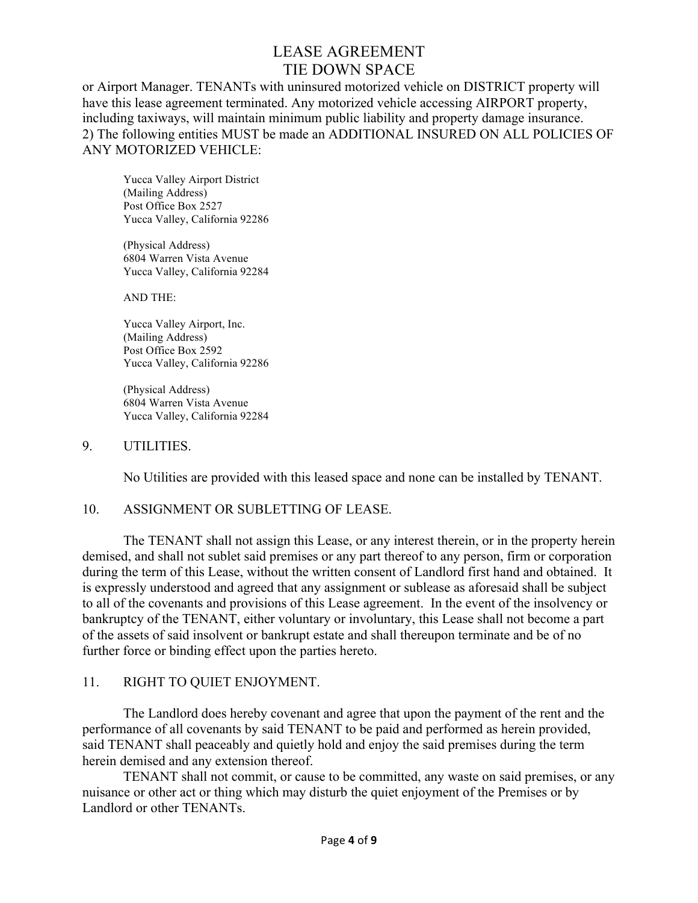or Airport Manager. TENANTs with uninsured motorized vehicle on DISTRICT property will have this lease agreement terminated. Any motorized vehicle accessing AIRPORT property, including taxiways, will maintain minimum public liability and property damage insurance. 2) The following entities MUST be made an ADDITIONAL INSURED ON ALL POLICIES OF ANY MOTORIZED VEHICLE:

Yucca Valley Airport District (Mailing Address) Post Office Box 2527 Yucca Valley, California 92286

(Physical Address) 6804 Warren Vista Avenue Yucca Valley, California 92284

AND THE:

Yucca Valley Airport, Inc. (Mailing Address) Post Office Box 2592 Yucca Valley, California 92286

(Physical Address) 6804 Warren Vista Avenue Yucca Valley, California 92284

#### 9. UTILITIES.

No Utilities are provided with this leased space and none can be installed by TENANT.

### 10. ASSIGNMENT OR SUBLETTING OF LEASE.

The TENANT shall not assign this Lease, or any interest therein, or in the property herein demised, and shall not sublet said premises or any part thereof to any person, firm or corporation during the term of this Lease, without the written consent of Landlord first hand and obtained. It is expressly understood and agreed that any assignment or sublease as aforesaid shall be subject to all of the covenants and provisions of this Lease agreement. In the event of the insolvency or bankruptcy of the TENANT, either voluntary or involuntary, this Lease shall not become a part of the assets of said insolvent or bankrupt estate and shall thereupon terminate and be of no further force or binding effect upon the parties hereto.

#### 11. RIGHT TO QUIET ENJOYMENT.

The Landlord does hereby covenant and agree that upon the payment of the rent and the performance of all covenants by said TENANT to be paid and performed as herein provided, said TENANT shall peaceably and quietly hold and enjoy the said premises during the term herein demised and any extension thereof.

TENANT shall not commit, or cause to be committed, any waste on said premises, or any nuisance or other act or thing which may disturb the quiet enjoyment of the Premises or by Landlord or other TENANTs.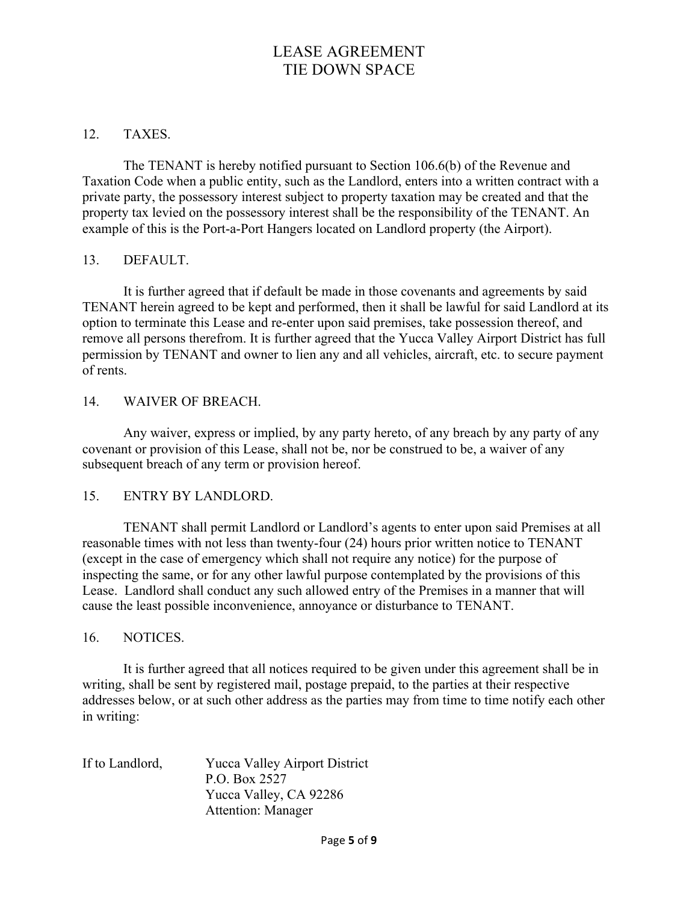### 12. TAXES.

The TENANT is hereby notified pursuant to Section 106.6(b) of the Revenue and Taxation Code when a public entity, such as the Landlord, enters into a written contract with a private party, the possessory interest subject to property taxation may be created and that the property tax levied on the possessory interest shall be the responsibility of the TENANT. An example of this is the Port-a-Port Hangers located on Landlord property (the Airport).

#### 13. DEFAULT.

It is further agreed that if default be made in those covenants and agreements by said TENANT herein agreed to be kept and performed, then it shall be lawful for said Landlord at its option to terminate this Lease and re-enter upon said premises, take possession thereof, and remove all persons therefrom. It is further agreed that the Yucca Valley Airport District has full permission by TENANT and owner to lien any and all vehicles, aircraft, etc. to secure payment of rents.

#### 14. WAIVER OF BREACH.

Any waiver, express or implied, by any party hereto, of any breach by any party of any covenant or provision of this Lease, shall not be, nor be construed to be, a waiver of any subsequent breach of any term or provision hereof.

### 15. ENTRY BY LANDLORD.

TENANT shall permit Landlord or Landlord's agents to enter upon said Premises at all reasonable times with not less than twenty-four (24) hours prior written notice to TENANT (except in the case of emergency which shall not require any notice) for the purpose of inspecting the same, or for any other lawful purpose contemplated by the provisions of this Lease. Landlord shall conduct any such allowed entry of the Premises in a manner that will cause the least possible inconvenience, annoyance or disturbance to TENANT.

#### 16. NOTICES.

It is further agreed that all notices required to be given under this agreement shall be in writing, shall be sent by registered mail, postage prepaid, to the parties at their respective addresses below, or at such other address as the parties may from time to time notify each other in writing:

| If to Landlord, | <b>Yucca Valley Airport District</b> |
|-----------------|--------------------------------------|
|                 | P.O. Box 2527                        |
|                 | Yucca Valley, CA 92286               |
|                 | <b>Attention: Manager</b>            |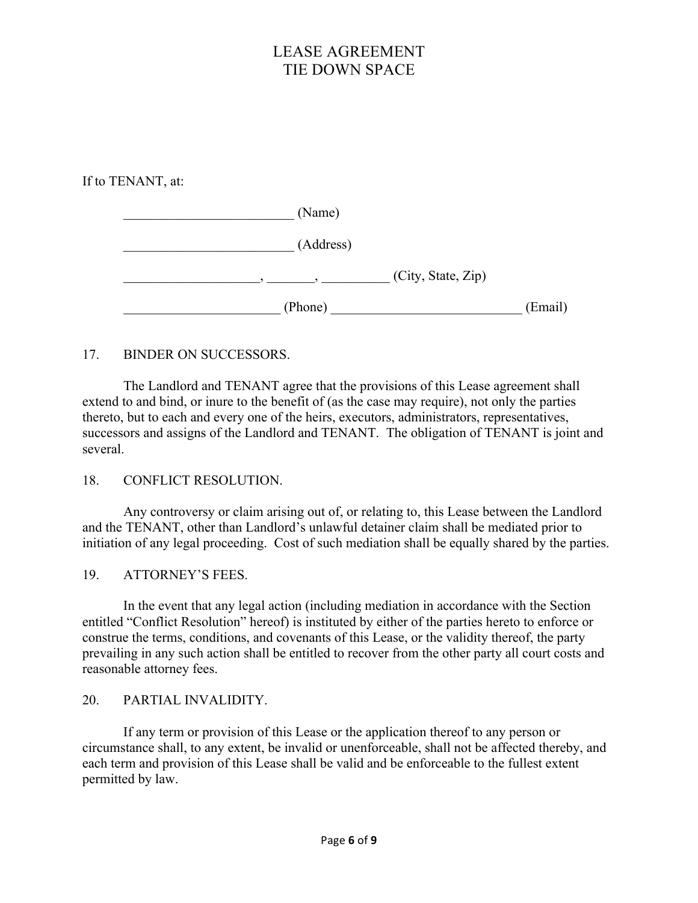If to TENANT, at:

| (Name)             |         |
|--------------------|---------|
| (Address)          |         |
| (City, State, Zip) |         |
| (Phone)            | (Email) |

### 17. BINDER ON SUCCESSORS.

The Landlord and TENANT agree that the provisions of this Lease agreement shall extend to and bind, or inure to the benefit of (as the case may require), not only the parties thereto, but to each and every one of the heirs, executors, administrators, representatives, successors and assigns of the Landlord and TENANT. The obligation of TENANT is joint and several.

18. CONFLICT RESOLUTION.

Any controversy or claim arising out of, or relating to, this Lease between the Landlord and the TENANT, other than Landlord's unlawful detainer claim shall be mediated prior to initiation of any legal proceeding. Cost of such mediation shall be equally shared by the parties.

19. ATTORNEY'S FEES.

In the event that any legal action (including mediation in accordance with the Section entitled "Conflict Resolution" hereof) is instituted by either of the parties hereto to enforce or construe the terms, conditions, and covenants of this Lease, or the validity thereof, the party prevailing in any such action shall be entitled to recover from the other party all court costs and reasonable attorney fees.

### 20. PARTIAL INVALIDITY.

If any term or provision of this Lease or the application thereof to any person or circumstance shall, to any extent, be invalid or unenforceable, shall not be affected thereby, and each term and provision of this Lease shall be valid and be enforceable to the fullest extent permitted by law.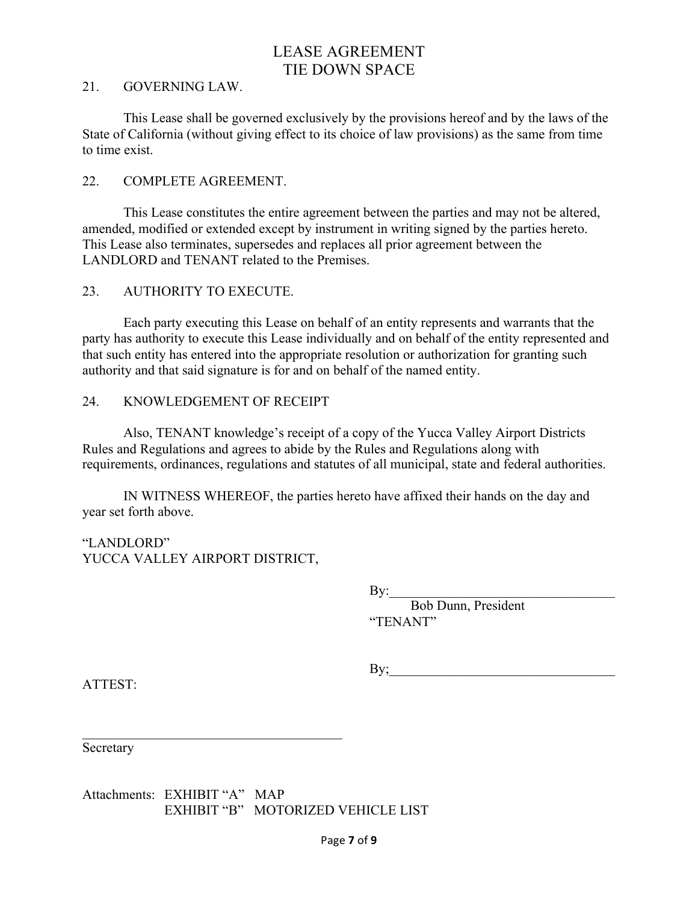#### 21. GOVERNING LAW.

This Lease shall be governed exclusively by the provisions hereof and by the laws of the State of California (without giving effect to its choice of law provisions) as the same from time to time exist.

#### 22. COMPLETE AGREEMENT.

This Lease constitutes the entire agreement between the parties and may not be altered, amended, modified or extended except by instrument in writing signed by the parties hereto. This Lease also terminates, supersedes and replaces all prior agreement between the LANDLORD and TENANT related to the Premises.

#### 23. AUTHORITY TO EXECUTE.

Each party executing this Lease on behalf of an entity represents and warrants that the party has authority to execute this Lease individually and on behalf of the entity represented and that such entity has entered into the appropriate resolution or authorization for granting such authority and that said signature is for and on behalf of the named entity.

#### 24. KNOWLEDGEMENT OF RECEIPT

Also, TENANT knowledge's receipt of a copy of the Yucca Valley Airport Districts Rules and Regulations and agrees to abide by the Rules and Regulations along with requirements, ordinances, regulations and statutes of all municipal, state and federal authorities.

IN WITNESS WHEREOF, the parties hereto have affixed their hands on the day and year set forth above.

"LANDLORD" YUCCA VALLEY AIRPORT DISTRICT,

 $\mathcal{L}_\text{max}$  and  $\mathcal{L}_\text{max}$  and  $\mathcal{L}_\text{max}$  and  $\mathcal{L}_\text{max}$ 

 $By:$ 

Bob Dunn, President "TENANT"

By;

ATTEST:

Secretary

Attachments: EXHIBIT "A" MAP EXHIBIT "B" MOTORIZED VEHICLE LIST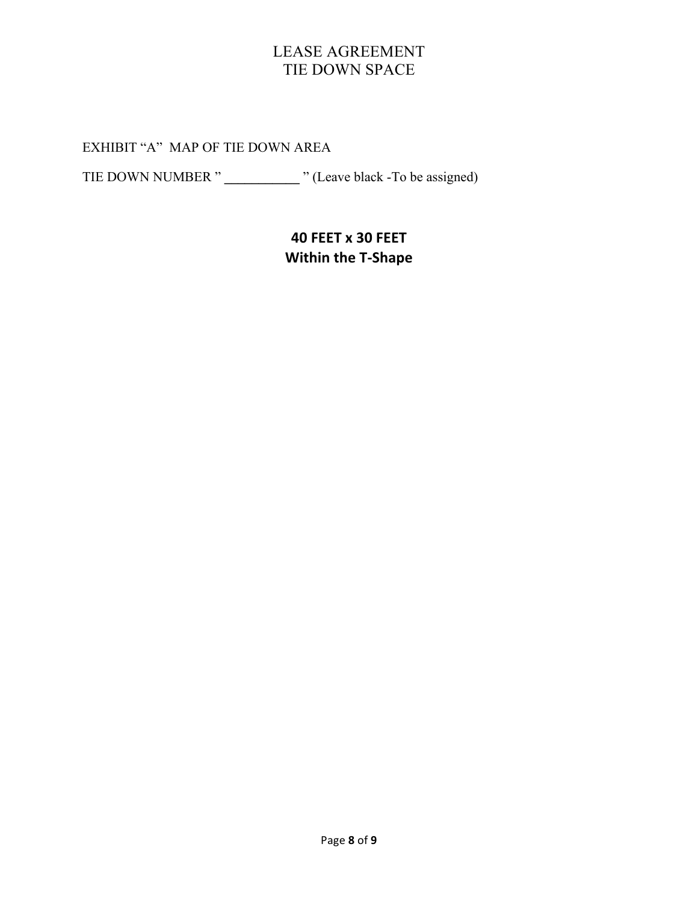EXHIBIT "A" MAP OF TIE DOWN AREA

TIE DOWN NUMBER " **\_\_\_\_\_\_\_\_\_\_\_** " (Leave black -To be assigned)

# **40 FEET x 30 FEET Within the T-Shape**